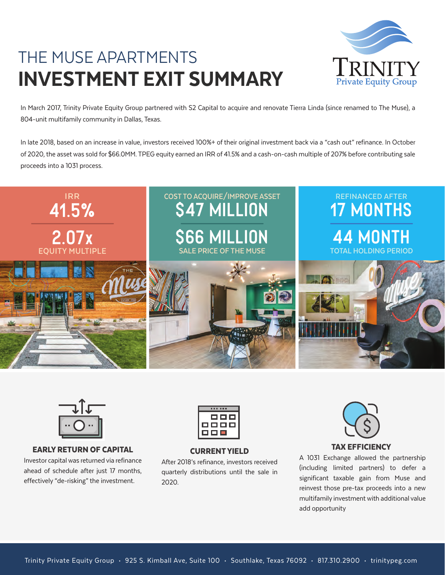# THE MUSE APARTMENTS INVESTMENT EXIT SUMMARY



In March 2017, Trinity Private Equity Group partnered with S2 Capital to acquire and renovate Tierra Linda (since renamed to The Muse), a 804-unit multifamily community in Dallas, Texas.

In late 2018, based on an increase in value, investors received 100%+ of their original investment back via a "cash out" refinance. In October of 2020, the asset was sold for \$66.0MM. TPEG equity earned an IRR of 41.5% and a cash-on-cash multiple of 207% before contributing sale proceeds into a 1031 process.





### TAX EFFICIENCY EARLY RETURN OF CAPITAL CURRENT YIELD

Investor capital was returned via refinance ahead of schedule after just 17 months, effectively "de-risking" the investment.



After 2018's refinance, investors received quarterly distributions until the sale in 2020.



A 1031 Exchange allowed the partnership (including limited partners) to defer a significant taxable gain from Muse and reinvest those pre-tax proceeds into a new multifamily investment with additional value add opportunity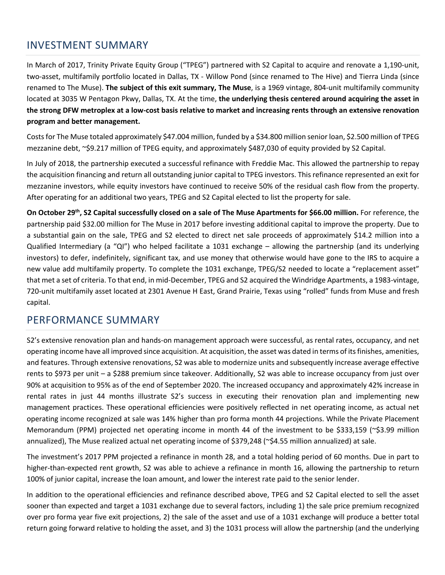## INVESTMENT SUMMARY

In March of 2017, Trinity Private Equity Group ("TPEG") partnered with S2 Capital to acquire and renovate a 1,190-unit, two-asset, multifamily portfolio located in Dallas, TX - Willow Pond (since renamed to The Hive) and Tierra Linda (since renamed to The Muse). **The subject of this exit summary, The Muse**, is a 1969 vintage, 804-unit multifamily community located at 3035 W Pentagon Pkwy, Dallas, TX. At the time, **the underlying thesis centered around acquiring the asset in the strong DFW metroplex at a low-cost basis relative to market and increasing rents through an extensive renovation program and better management.**

Costs for The Muse totaled approximately \$47.004 million, funded by a \$34.800 million senior loan, \$2.500 million of TPEG mezzanine debt, ~\$9.217 million of TPEG equity, and approximately \$487,030 of equity provided by S2 Capital.

In July of 2018, the partnership executed a successful refinance with Freddie Mac. This allowed the partnership to repay the acquisition financing and return all outstanding junior capital to TPEG investors. This refinance represented an exit for mezzanine investors, while equity investors have continued to receive 50% of the residual cash flow from the property. After operating for an additional two years, TPEG and S2 Capital elected to list the property for sale.

**On October 29th, S2 Capital successfully closed on a sale of The Muse Apartments for \$66.00 million.** For reference, the partnership paid \$32.00 million for The Muse in 2017 before investing additional capital to improve the property. Due to a substantial gain on the sale, TPEG and S2 elected to direct net sale proceeds of approximately \$14.2 million into a Qualified Intermediary (a "QI") who helped facilitate a 1031 exchange – allowing the partnership (and its underlying investors) to defer, indefinitely, significant tax, and use money that otherwise would have gone to the IRS to acquire a new value add multifamily property. To complete the 1031 exchange, TPEG/S2 needed to locate a "replacement asset" that met a set of criteria. To that end, in mid-December, TPEG and S2 acquired the Windridge Apartments, a 1983-vintage, 720-unit multifamily asset located at 2301 Avenue H East, Grand Prairie, Texas using "rolled" funds from Muse and fresh capital.

### PERFORMANCE SUMMARY

S2's extensive renovation plan and hands-on management approach were successful, as rental rates, occupancy, and net operating income have all improved since acquisition. At acquisition, the asset was dated in terms of its finishes, amenities, and features. Through extensive renovations, S2 was able to modernize units and subsequently increase average effective rents to \$973 per unit – a \$288 premium since takeover. Additionally, S2 was able to increase occupancy from just over 90% at acquisition to 95% as of the end of September 2020. The increased occupancy and approximately 42% increase in rental rates in just 44 months illustrate S2's success in executing their renovation plan and implementing new management practices. These operational efficiencies were positively reflected in net operating income, as actual net operating income recognized at sale was 14% higher than pro forma month 44 projections. While the Private Placement Memorandum (PPM) projected net operating income in month 44 of the investment to be \$333,159 (~\$3.99 million annualized), The Muse realized actual net operating income of \$379,248 (~\$4.55 million annualized) at sale.

The investment's 2017 PPM projected a refinance in month 28, and a total holding period of 60 months. Due in part to higher-than-expected rent growth, S2 was able to achieve a refinance in month 16, allowing the partnership to return 100% of junior capital, increase the loan amount, and lower the interest rate paid to the senior lender.

In addition to the operational efficiencies and refinance described above, TPEG and S2 Capital elected to sell the asset sooner than expected and target a 1031 exchange due to several factors, including 1) the sale price premium recognized over pro forma year five exit projections, 2) the sale of the asset and use of a 1031 exchange will produce a better total return going forward relative to holding the asset, and 3) the 1031 process will allow the partnership (and the underlying